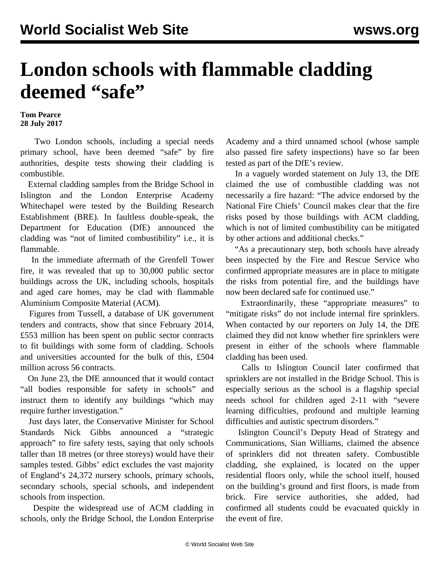## **London schools with flammable cladding deemed "safe"**

**Tom Pearce 28 July 2017**

 Two London schools, including a special needs primary school, have been deemed "safe" by fire authorities, despite tests showing their cladding is combustible.

 External cladding samples from the Bridge School in Islington and the London Enterprise Academy Whitechapel were tested by the Building Research Establishment (BRE). In faultless double-speak, the Department for Education (DfE) announced the cladding was "not of limited combustibility" i.e., it is flammable.

 In the immediate aftermath of the Grenfell Tower fire, it was revealed that up to 30,000 public sector buildings across the UK, including schools, hospitals and aged care homes, may be clad with flammable Aluminium Composite Material (ACM).

 Figures from Tussell, a database of UK government tenders and contracts, show that since February 2014, £553 million has been spent on public sector contracts to fit buildings with some form of cladding. Schools and universities accounted for the bulk of this, £504 million across 56 contracts.

 On June 23, the DfE announced that it would contact "all bodies responsible for safety in schools" and instruct them to identify any buildings "which may require further investigation."

 Just days later, the Conservative Minister for School Standards Nick Gibbs announced a "strategic approach" to fire safety tests, saying that only schools taller than 18 metres (or three storeys) would have their samples tested. Gibbs' edict excludes the vast majority of England's 24,372 nursery schools, primary schools, secondary schools, special schools, and independent schools from inspection.

 Despite the widespread use of ACM cladding in schools, only the Bridge School, the London Enterprise Academy and a third unnamed school (whose sample also passed fire safety inspections) have so far been tested as part of the DfE's review.

 In a vaguely worded statement on July 13, the DfE claimed the use of combustible cladding was not necessarily a fire hazard: "The advice endorsed by the National Fire Chiefs' Council makes clear that the fire risks posed by those buildings with ACM cladding, which is not of limited combustibility can be mitigated by other actions and additional checks."

 "As a precautionary step, both schools have already been inspected by the Fire and Rescue Service who confirmed appropriate measures are in place to mitigate the risks from potential fire, and the buildings have now been declared safe for continued use."

 Extraordinarily, these "appropriate measures" to "mitigate risks" do not include internal fire sprinklers. When contacted by our reporters on July 14, the DfE claimed they did not know whether fire sprinklers were present in either of the schools where flammable cladding has been used.

 Calls to Islington Council later confirmed that sprinklers are not installed in the Bridge School. This is especially serious as the school is a flagship special needs school for children aged 2-11 with "severe learning difficulties, profound and multiple learning difficulties and autistic spectrum disorders."

 Islington Council's Deputy Head of Strategy and Communications, Sian Williams, claimed the absence of sprinklers did not threaten safety. Combustible cladding, she explained, is located on the upper residential floors only, while the school itself, housed on the building's ground and first floors, is made from brick. Fire service authorities, she added, had confirmed all students could be evacuated quickly in the event of fire.